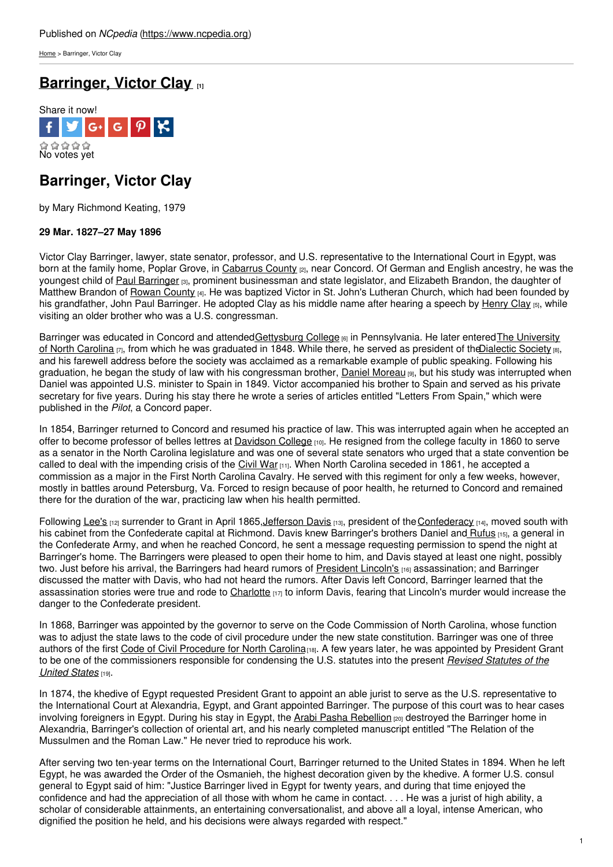[Home](https://www.ncpedia.org/) > Barringer, Victor Clay

# **[Barringer,](https://www.ncpedia.org/biography/barringer-victor-clay) Victor Clay [1]**



## **Barringer, Victor Clay**

by Mary Richmond Keating, 1979

### **29 Mar. 1827–27 May 1896**

Victor Clay Barringer, lawyer, state senator, professor, and U.S. representative to the International Court in Egypt, was born at the family home, Poplar Grove, in [Cabarrus](https://www.ncpedia.org/geography/cabarrus) County <sub>[2]</sub>, near Concord. Of German and English ancestry, he was the youngest child of Paul [Barringer](https://www.ncpedia.org/biography/barringer-paul) [3], prominent [businessm](http://www.social9.com)an and state legislator, and Elizabeth Brandon, the daughter of Matthew Brandon of Rowan [County](https://www.ncpedia.org/geography/rowan) [4]. He was baptized Victor in St. John's Lutheran Church, which had been founded by his grandfather, John Paul Barringer. He adopted Clay as his middle name after hearing a speech by [Henry](http://bioguide.congress.gov/scripts/biodisplay.pl?index=c000482) Clay [5], while visiting an older brother who was a U.S. congressman.

Barringer was educated in Concord and [attendedGettysburg](https://www.ncpedia.org/university-north-carolina-chapel-hi) College [6] in Pennsylvania. He later enteredThe University of North Carolina  $\overline{r}$ , from which he was graduated in 1848. While there, he served as president of the Dialectic Society  $\overline{r}$ and his farewell address before the society was acclaimed as a remarkable example of public speaking. Following his graduation, he began the study of law with his congressman brother, Daniel [Moreau](https://www.ncpedia.org/biography/barringer-daniel-moreau) [9], but his study was interrupted when Daniel was appointed U.S. minister to Spain in 1849. Victor accompanied his brother to Spain and served as his private secretary for five years. During his stay there he wrote a series of articles entitled "Letters From Spain," which were published in the *Pilot*, a Concord paper.

In 1854, Barringer returned to Concord and resumed his practice of law. This was interrupted again when he accepted an offer to become professor of belles lettres at [Davidson](https://www.ncpedia.org/davidson-college) College [10]. He resigned from the college faculty in 1860 to serve as a senator in the North Carolina legislature and was one of several state senators who urged that a state convention be called to deal with the impending crisis of the [Civil](https://www.ncpedia.org/history/cw-1900/civil-war) War  $[11]$ . When North Carolina seceded in 1861, he accepted a commission as a major in the First North Carolina Cavalry. He served with this regiment for only a few weeks, however, mostly in battles around Petersburg, Va. Forced to resign because of poor health, he returned to Concord and remained there for the duration of the war, practicing law when his health permitted.

Following [Lee's](http://www.civilwar.org/education/history/biographies/robert-e-lee.html) [12] surrender to Grant in April 1865, Jefferson Davis [13], president of the [Confederacy](https://www.ncpedia.org/confederate-party) [14], moved south with his cabinet from the Confederate capital at Richmond. Davis knew Barringer's brothers Daniel and [Rufus](https://www.ncpedia.org/biography/barringer-rufus-clay) [15], a general in the Confederate Army, and when he reached Concord, he sent a message requesting permission to spend the night at Barringer's home. The Barringers were pleased to open their home to him, and Davis stayed at least one night, possibly two. Just before his arrival, the Barringers had heard rumors of [President](https://www.whitehouse.gov/about/presidents/abrahamlincoln) Lincoln's [16] assassination; and Barringer discussed the matter with Davis, who had not heard the rumors. After Davis left Concord, Barringer learned that the assassination stories were true and rode to [Charlotte](https://www.ncpedia.org/geography/charlotte) [17] to inform Davis, fearing that Lincoln's murder would increase the danger to the Confederate president.

In 1868, Barringer was appointed by the governor to serve on the Code Commission of North Carolina, whose function was to adjust the state laws to the code of civil procedure under the new state constitution. Barringer was one of three authors of the first Code of Civil [Procedure](https://www.worldcat.org/title/code-of-civil-procedure-of-north-carolina-to-special-proceedings/oclc/3786675&referer=brief_results) for North Carolina[18]. A few years later, he was appointed by President Grant to be one of the [commissioners](https://www.worldcat.org/title/revision-of-the-united-states-statutes-as-drafted-by-the-commissioners-appointed-for-that-purpose/oclc/80658549) responsible for condensing the U.S. statutes into the present *Revised Statutes of the United States* [19].

In 1874, the khedive of Egypt requested President Grant to appoint an able jurist to serve as the U.S. representative to the International Court at Alexandria, Egypt, and Grant appointed Barringer. The purpose of this court was to hear cases involving foreigners in Egypt. During his stay in Egypt, the Arabi Pasha [Rebellion](http://www.bbc.co.uk/radio4/history/empire/episodes/episode_63.shtml) [20] destroyed the Barringer home in Alexandria, Barringer's collection of oriental art, and his nearly completed manuscript entitled "The Relation of the Mussulmen and the Roman Law." He never tried to reproduce his work.

After serving two ten-year terms on the International Court, Barringer returned to the United States in 1894. When he left Egypt, he was awarded the Order of the Osmanieh, the highest decoration given by the khedive. A former U.S. consul general to Egypt said of him: "Justice Barringer lived in Egypt for twenty years, and during that time enjoyed the confidence and had the appreciation of all those with whom he came in contact. . . . He was a jurist of high ability, a scholar of considerable attainments, an entertaining conversationalist, and above all a loyal, intense American, who dignified the position he held, and his decisions were always regarded with respect."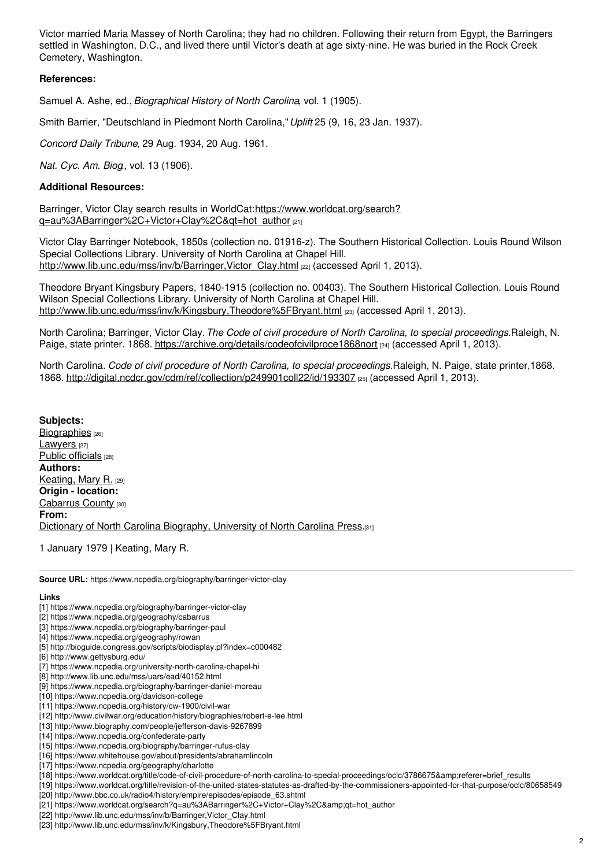Victor married Maria Massey of North Carolina; they had no children. Following their return from Egypt, the Barringers settled in Washington, D.C., and lived there until Victor's death at age sixty-nine. He was buried in the Rock Creek Cemetery, Washington.

#### **References:**

Samuel A. Ashe, ed., *Biographical History of North Carolina*, vol. 1 (1905).

Smith Barrier, "Deutschland in Piedmont North Carolina,"*Uplift* 25 (9, 16, 23 Jan. 1937).

*Concord Daily Tribune*, 29 Aug. 1934, 20 Aug. 1961.

*Nat. Cyc. Am. Biog*., vol. 13 (1906).

### **Additional Resources:**

Barringer, Victor Clay search results in WorldCat:https://www.worldcat.org/search? [q=au%3ABarringer%2C+Victor+Clay%2C&qt=hot\\_author](https://www.worldcat.org/search?q=au%3ABarringer%2C+Victor+Clay%2C&qt=hot_author) [21]

Victor Clay Barringer Notebook, 1850s (collection no. 01916-z). The Southern Historical Collection. Louis Round Wilson Special Collections Library. University of North Carolina at Chapel Hill. http://www.lib.unc.edu/mss/inv/b/Barringer,Victor Clay.html [22] (accessed April 1, 2013).

Theodore Bryant Kingsbury Papers, 1840-1915 (collection no. 00403). The Southern Historical Collection. Louis Round Wilson Special Collections Library. University of North Carolina at Chapel Hill. <http://www.lib.unc.edu/mss/inv/k/Kingsbury,Theodore%5FBryant.html> [23] (accessed April 1, 2013).

North Carolina; Barringer, Victor Clay.*The Code of civil procedure of North Carolina, to special proceedings.*Raleigh, N. Paige, state printer. 1868. <https://archive.org/details/codeofcivilproce1868nort> [24] (accessed April 1, 2013).

North Carolina. *Code of civil procedure of North Carolina, to special proceedings.*Raleigh, N. Paige, state printer,1868. 1868. <http://digital.ncdcr.gov/cdm/ref/collection/p249901coll22/id/193307> [25] (accessed April 1, 2013).

**Subjects:** [Biographies](https://www.ncpedia.org/category/subjects/biography-term) [26] [Lawyers](https://www.ncpedia.org/category/subjects/lawyers) [27] Public [officials](https://www.ncpedia.org/category/subjects/public-officials) [28] **Authors:** [Keating,](https://www.ncpedia.org/category/authors/keating-mary-r) Mary R. [29] **Origin - location:** [Cabarrus](https://www.ncpedia.org/category/origin-location/piedmon-18) County [30] **From:** Dictionary of North Carolina [Biography,](https://www.ncpedia.org/category/entry-source/dictionary-no) University of North Carolina Press.[31]

1 January 1979 | Keating, Mary R.

**Source URL:** https://www.ncpedia.org/biography/barringer-victor-clay

#### **Links**

- [1] https://www.ncpedia.org/biography/barringer-victor-clay
- [2] https://www.ncpedia.org/geography/cabarrus
- [3] https://www.ncpedia.org/biography/barringer-paul
- [4] https://www.ncpedia.org/geography/rowan
- [5] http://bioguide.congress.gov/scripts/biodisplay.pl?index=c000482
- [6] http://www.gettysburg.edu/
- [7] https://www.ncpedia.org/university-north-carolina-chapel-hi
- [8] http://www.lib.unc.edu/mss/uars/ead/40152.html
- [9] https://www.ncpedia.org/biography/barringer-daniel-moreau
- [10] https://www.ncpedia.org/davidson-college
- [11] https://www.ncpedia.org/history/cw-1900/civil-war
- [12] http://www.civilwar.org/education/history/biographies/robert-e-lee.html
- [13] http://www.biography.com/people/jefferson-davis-9267899
- [14] https://www.ncpedia.org/confederate-party
- [15] https://www.ncpedia.org/biography/barringer-rufus-clay
- [16] https://www.whitehouse.gov/about/presidents/abrahamlincoln
- [17] https://www.ncpedia.org/geography/charlotte
- [18] https://www.worldcat.org/title/code-of-civil-procedure-of-north-carolina-to-special-proceedings/oclc/3786675&referer=brief\_results
- [19] https://www.worldcat.org/title/revision-of-the-united-states-statutes-as-drafted-by-the-commissioners-appointed-for-that-purpose/oclc/80658549
- [20] http://www.bbc.co.uk/radio4/history/empire/episodes/episode\_63.shtml
- [21] https://www.worldcat.org/search?q=au%3ABarringer%2C+Victor+Clay%2C&qt=hot\_author
- [22] http://www.lib.unc.edu/mss/inv/b/Barringer,Victor\_Clay.html
- [23] http://www.lib.unc.edu/mss/inv/k/Kingsbury,Theodore%5FBryant.html